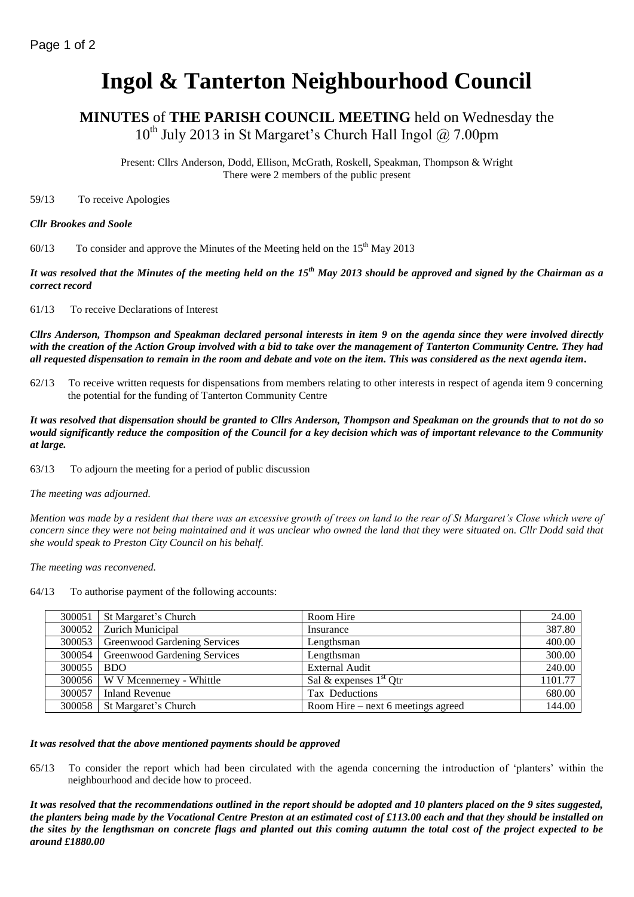# **Ingol & Tanterton Neighbourhood Council**

**MINUTES** of **THE PARISH COUNCIL MEETING** held on Wednesday the  $10^{th}$  July 2013 in St Margaret's Church Hall Ingol  $\omega$  7.00pm

Present: Cllrs Anderson, Dodd, Ellison, McGrath, Roskell, Speakman, Thompson & Wright There were 2 members of the public present

59/13 To receive Apologies

#### *Cllr Brookes and Soole*

60/13 To consider and approve the Minutes of the Meeting held on the  $15<sup>th</sup>$  May 2013

*It was resolved that the Minutes of the meeting held on the 15th May 2013 should be approved and signed by the Chairman as a correct record*

61/13 To receive Declarations of Interest

*Cllrs Anderson, Thompson and Speakman declared personal interests in item 9 on the agenda since they were involved directly with the creation of the Action Group involved with a bid to take over the management of Tanterton Community Centre. They had all requested dispensation to remain in the room and debate and vote on the item. This was considered as the next agenda item.*

62/13 To receive written requests for dispensations from members relating to other interests in respect of agenda item 9 concerning the potential for the funding of Tanterton Community Centre

*It was resolved that dispensation should be granted to Cllrs Anderson, Thompson and Speakman on the grounds that to not do so would significantly reduce the composition of the Council for a key decision which was of important relevance to the Community at large.*

63/13 To adjourn the meeting for a period of public discussion

*The meeting was adjourned.*

*Mention was made by a resident that there was an excessive growth of trees on land to the rear of St Margaret's Close which were of concern since they were not being maintained and it was unclear who owned the land that they were situated on. Cllr Dodd said that she would speak to Preston City Council on his behalf.*

*The meeting was reconvened.*

64/13 To authorise payment of the following accounts:

| 300051 | St Margaret's Church                | Room Hire                          | 24.00   |
|--------|-------------------------------------|------------------------------------|---------|
| 300052 | Zurich Municipal                    | Insurance                          | 387.80  |
| 300053 | Greenwood Gardening Services        | Lengthsman                         | 400.00  |
| 300054 | <b>Greenwood Gardening Services</b> | Lengthsman                         | 300.00  |
| 300055 | <b>BDO</b>                          | <b>External Audit</b>              | 240.00  |
| 300056 | W V Mcennerney - Whittle            | Sal & expenses $1st$ Qtr           | 1101.77 |
| 300057 | <b>Inland Revenue</b>               | Tax Deductions                     | 680.00  |
| 300058 | St Margaret's Church                | Room Hire – next 6 meetings agreed | 144.00  |

## *It was resolved that the above mentioned payments should be approved*

65/13 To consider the report which had been circulated with the agenda concerning the introduction of 'planters' within the neighbourhood and decide how to proceed.

*It was resolved that the recommendations outlined in the report should be adopted and 10 planters placed on the 9 sites suggested, the planters being made by the Vocational Centre Preston at an estimated cost of £113.00 each and that they should be installed on the sites by the lengthsman on concrete flags and planted out this coming autumn the total cost of the project expected to be around £1880.00*